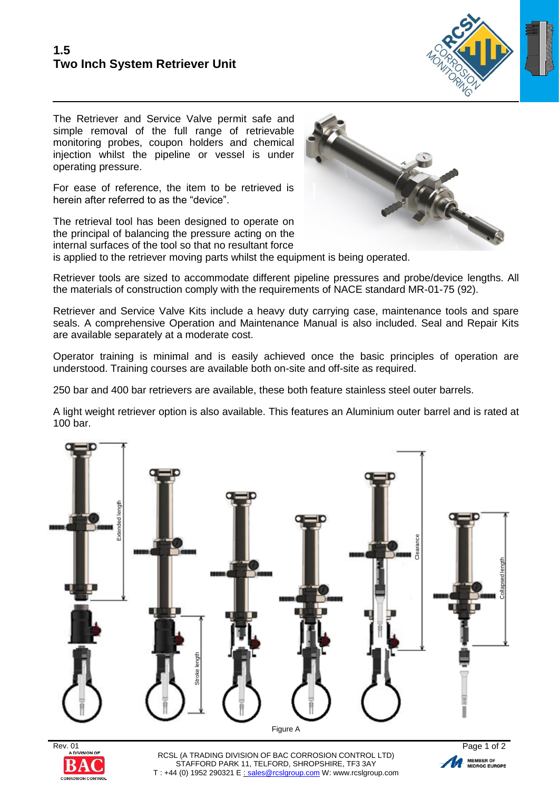

The Retriever and Service Valve permit safe and simple removal of the full range of retrievable monitoring probes, coupon holders and chemical injection whilst the pipeline or vessel is under operating pressure.

For ease of reference, the item to be retrieved is herein after referred to as the "device".

The retrieval tool has been designed to operate on the principal of balancing the pressure acting on the internal surfaces of the tool so that no resultant force



is applied to the retriever moving parts whilst the equipment is being operated.

Retriever tools are sized to accommodate different pipeline pressures and probe/device lengths. All the materials of construction comply with the requirements of NACE standard MR-01-75 (92).

Retriever and Service Valve Kits include a heavy duty carrying case, maintenance tools and spare seals. A comprehensive Operation and Maintenance Manual is also included. Seal and Repair Kits are available separately at a moderate cost.

Operator training is minimal and is easily achieved once the basic principles of operation are understood. Training courses are available both on-site and off-site as required.

250 bar and 400 bar retrievers are available, these both feature stainless steel outer barrels.

A light weight retriever option is also available. This features an Aluminium outer barrel and is rated at 100 bar.





RCSL (A TRADING DIVISION OF BAC CORROSION CONTROL LTD) STAFFORD PARK 11, TELFORD, SHROPSHIRE, TF3 3AY T : +44 (0) 1952 290321 E : [sales@rcslgroup.com](mailto:sales@rcslgroup.com) W: www.rcslgroup.com